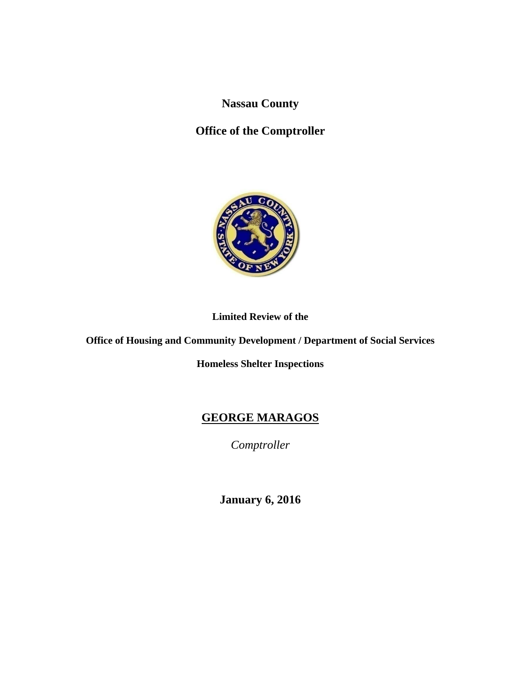**Nassau County** 

# **Office of the Comptroller**



### **Limited Review of the**

**Office of Housing and Community Development / Department of Social Services** 

**Homeless Shelter Inspections** 

# **GEORGE MARAGOS**

*Comptroller* 

**January 6, 2016**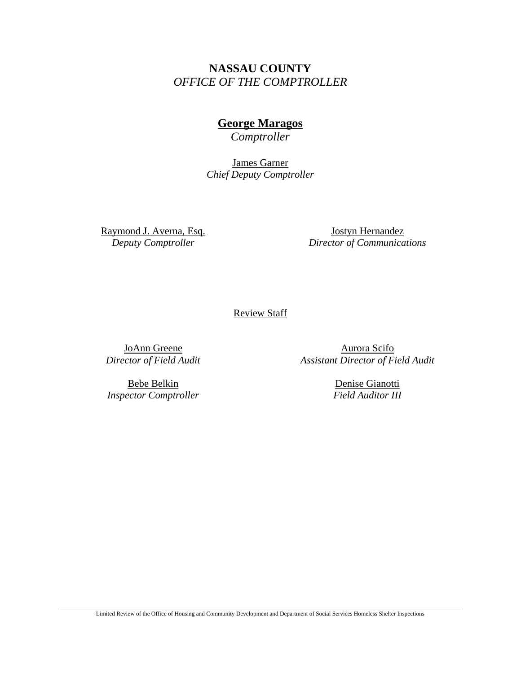# **NASSAU COUNTY**  *OFFICE OF THE COMPTROLLER*

# **George Maragos**

*Comptroller* 

James Garner *Chief Deputy Comptroller* 

Raymond J. Averna, Esq. *Deputy Comptroller* 

Jostyn Hernandez *Director of Communications* 

Review Staff

JoAnn Greene *Director of Field Audit* 

Bebe Belkin *Inspector Comptroller* 

Aurora Scifo *Assistant Director of Field Audit* 

> Denise Gianotti *Field Auditor III*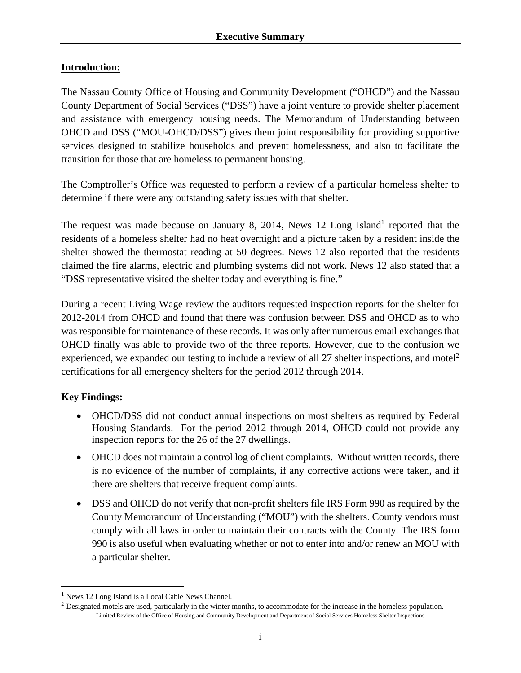### **Introduction:**

The Nassau County Office of Housing and Community Development ("OHCD") and the Nassau County Department of Social Services ("DSS") have a joint venture to provide shelter placement and assistance with emergency housing needs. The Memorandum of Understanding between OHCD and DSS ("MOU-OHCD/DSS") gives them joint responsibility for providing supportive services designed to stabilize households and prevent homelessness, and also to facilitate the transition for those that are homeless to permanent housing.

The Comptroller's Office was requested to perform a review of a particular homeless shelter to determine if there were any outstanding safety issues with that shelter.

The request was made because on January 8, 2014, News 12 Long Island<sup>1</sup> reported that the residents of a homeless shelter had no heat overnight and a picture taken by a resident inside the shelter showed the thermostat reading at 50 degrees. News 12 also reported that the residents claimed the fire alarms, electric and plumbing systems did not work. News 12 also stated that a "DSS representative visited the shelter today and everything is fine."

During a recent Living Wage review the auditors requested inspection reports for the shelter for 2012-2014 from OHCD and found that there was confusion between DSS and OHCD as to who was responsible for maintenance of these records. It was only after numerous email exchanges that OHCD finally was able to provide two of the three reports. However, due to the confusion we experienced, we expanded our testing to include a review of all 27 shelter inspections, and motel<sup>2</sup> certifications for all emergency shelters for the period 2012 through 2014.

### **Key Findings:**

 $\overline{a}$ 

- OHCD/DSS did not conduct annual inspections on most shelters as required by Federal Housing Standards. For the period 2012 through 2014, OHCD could not provide any inspection reports for the 26 of the 27 dwellings.
- OHCD does not maintain a control log of client complaints. Without written records, there is no evidence of the number of complaints, if any corrective actions were taken, and if there are shelters that receive frequent complaints.
- DSS and OHCD do not verify that non-profit shelters file IRS Form 990 as required by the County Memorandum of Understanding ("MOU") with the shelters. County vendors must comply with all laws in order to maintain their contracts with the County. The IRS form 990 is also useful when evaluating whether or not to enter into and/or renew an MOU with a particular shelter.

<sup>&</sup>lt;sup>1</sup> News 12 Long Island is a Local Cable News Channel.

Limited Review of the Office of Housing and Community Development and Department of Social Services Homeless Shelter Inspections  $<sup>2</sup>$  Designated motels are used, particularly in the winter months, to accommodate for the increase in the homeless population.</sup>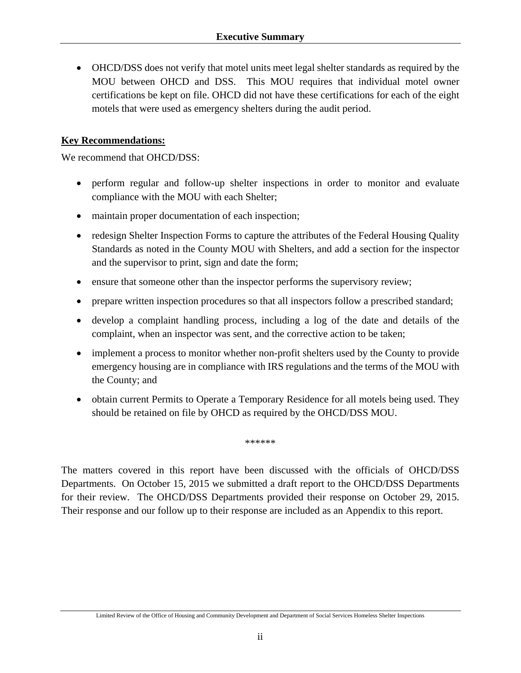OHCD/DSS does not verify that motel units meet legal shelter standards as required by the MOU between OHCD and DSS. This MOU requires that individual motel owner certifications be kept on file. OHCD did not have these certifications for each of the eight motels that were used as emergency shelters during the audit period.

### **Key Recommendations:**

We recommend that OHCD/DSS:

- perform regular and follow-up shelter inspections in order to monitor and evaluate compliance with the MOU with each Shelter;
- maintain proper documentation of each inspection;
- redesign Shelter Inspection Forms to capture the attributes of the Federal Housing Quality Standards as noted in the County MOU with Shelters, and add a section for the inspector and the supervisor to print, sign and date the form;
- ensure that someone other than the inspector performs the supervisory review;
- prepare written inspection procedures so that all inspectors follow a prescribed standard;
- develop a complaint handling process, including a log of the date and details of the complaint, when an inspector was sent, and the corrective action to be taken;
- implement a process to monitor whether non-profit shelters used by the County to provide emergency housing are in compliance with IRS regulations and the terms of the MOU with the County; and
- obtain current Permits to Operate a Temporary Residence for all motels being used. They should be retained on file by OHCD as required by the OHCD/DSS MOU.

\*\*\*\*\*\*

The matters covered in this report have been discussed with the officials of OHCD/DSS Departments. On October 15, 2015 we submitted a draft report to the OHCD/DSS Departments for their review. The OHCD/DSS Departments provided their response on October 29, 2015. Their response and our follow up to their response are included as an Appendix to this report.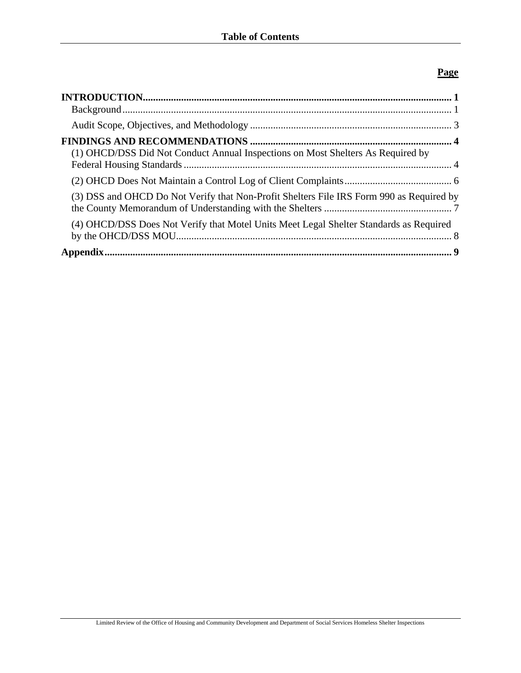### **Page**

| (1) OHCD/DSS Did Not Conduct Annual Inspections on Most Shelters As Required by          |  |
|------------------------------------------------------------------------------------------|--|
|                                                                                          |  |
| (3) DSS and OHCD Do Not Verify that Non-Profit Shelters File IRS Form 990 as Required by |  |
| (4) OHCD/DSS Does Not Verify that Motel Units Meet Legal Shelter Standards as Required   |  |
|                                                                                          |  |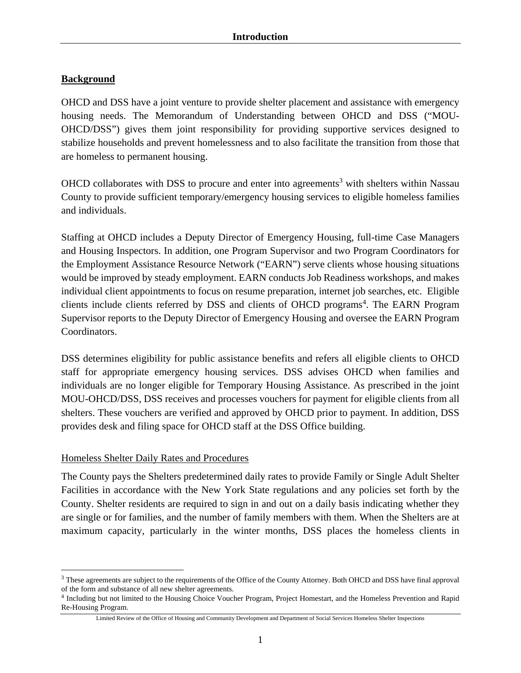### **Background**

OHCD and DSS have a joint venture to provide shelter placement and assistance with emergency housing needs. The Memorandum of Understanding between OHCD and DSS ("MOU-OHCD/DSS") gives them joint responsibility for providing supportive services designed to stabilize households and prevent homelessness and to also facilitate the transition from those that are homeless to permanent housing.

OHCD collaborates with DSS to procure and enter into agreements<sup>3</sup> with shelters within Nassau County to provide sufficient temporary/emergency housing services to eligible homeless families and individuals.

Staffing at OHCD includes a Deputy Director of Emergency Housing, full-time Case Managers and Housing Inspectors. In addition, one Program Supervisor and two Program Coordinators for the Employment Assistance Resource Network ("EARN") serve clients whose housing situations would be improved by steady employment. EARN conducts Job Readiness workshops, and makes individual client appointments to focus on resume preparation, internet job searches, etc. Eligible clients include clients referred by DSS and clients of OHCD programs<sup>4</sup>. The EARN Program Supervisor reports to the Deputy Director of Emergency Housing and oversee the EARN Program Coordinators.

DSS determines eligibility for public assistance benefits and refers all eligible clients to OHCD staff for appropriate emergency housing services. DSS advises OHCD when families and individuals are no longer eligible for Temporary Housing Assistance. As prescribed in the joint MOU-OHCD/DSS, DSS receives and processes vouchers for payment for eligible clients from all shelters. These vouchers are verified and approved by OHCD prior to payment. In addition, DSS provides desk and filing space for OHCD staff at the DSS Office building.

### Homeless Shelter Daily Rates and Procedures

1

The County pays the Shelters predetermined daily rates to provide Family or Single Adult Shelter Facilities in accordance with the New York State regulations and any policies set forth by the County. Shelter residents are required to sign in and out on a daily basis indicating whether they are single or for families, and the number of family members with them. When the Shelters are at maximum capacity, particularly in the winter months, DSS places the homeless clients in

<sup>&</sup>lt;sup>3</sup> These agreements are subject to the requirements of the Office of the County Attorney. Both OHCD and DSS have final approval of the form and substance of all new shelter agreements.

<sup>4</sup> Including but not limited to the Housing Choice Voucher Program, Project Homestart, and the Homeless Prevention and Rapid Re-Housing Program.

Limited Review of the Office of Housing and Community Development and Department of Social Services Homeless Shelter Inspections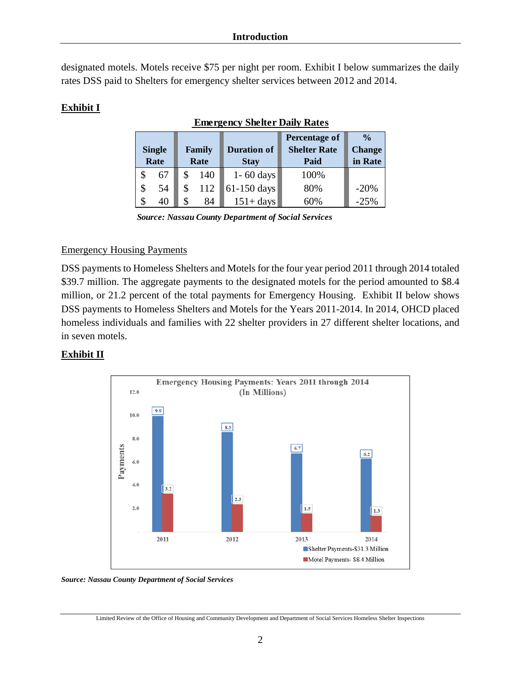designated motels. Motels receive \$75 per night per room. Exhibit I below summarizes the daily rates DSS paid to Shelters for emergency shelter services between 2012 and 2014.

# **Exhibit I**

| <b>Single</b><br>Rate |    | <b>Family</b><br>Rate |     | <b>Duration of</b><br><b>Stay</b> | Percentage of<br><b>Shelter Rate</b><br>Paid | $\frac{0}{0}$<br><b>Change</b><br>in Rate |
|-----------------------|----|-----------------------|-----|-----------------------------------|----------------------------------------------|-------------------------------------------|
| \$                    | 67 |                       | 140 | $1 - 60$ days                     | 100%                                         |                                           |
| \$                    | 54 | \$                    | 112 | 61-150 days                       | 80%                                          | $-20%$                                    |
| \$                    | 40 | \$                    | 84  | $151 + days$                      | 60%                                          | $-25%$                                    |

# **Emergency Shelter Daily Rates**

*Source: Nassau County Department of Social Services* 

### Emergency Housing Payments

DSS payments to Homeless Shelters and Motels for the four year period 2011 through 2014 totaled \$39.7 million. The aggregate payments to the designated motels for the period amounted to \$8.4 million, or 21.2 percent of the total payments for Emergency Housing. Exhibit II below shows DSS payments to Homeless Shelters and Motels for the Years 2011-2014. In 2014, OHCD placed homeless individuals and families with 22 shelter providers in 27 different shelter locations, and in seven motels.

# **Exhibit II**



#### *Source: Nassau County Department of Social Services*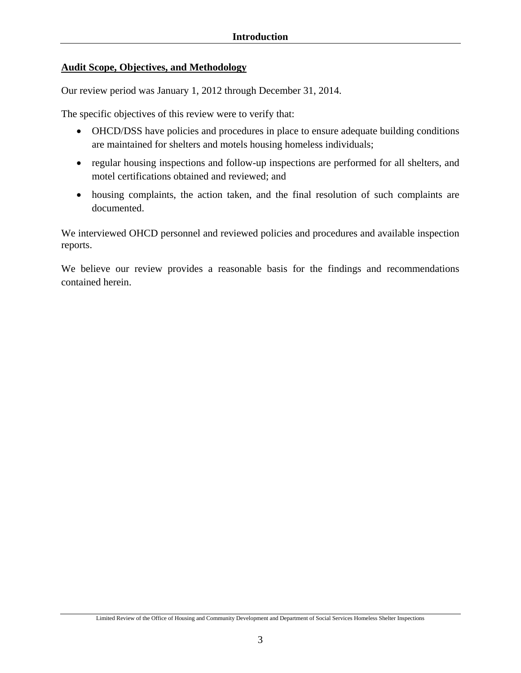### **Audit Scope, Objectives, and Methodology**

Our review period was January 1, 2012 through December 31, 2014.

The specific objectives of this review were to verify that:

- OHCD/DSS have policies and procedures in place to ensure adequate building conditions are maintained for shelters and motels housing homeless individuals;
- regular housing inspections and follow-up inspections are performed for all shelters, and motel certifications obtained and reviewed; and
- housing complaints, the action taken, and the final resolution of such complaints are documented.

We interviewed OHCD personnel and reviewed policies and procedures and available inspection reports.

We believe our review provides a reasonable basis for the findings and recommendations contained herein.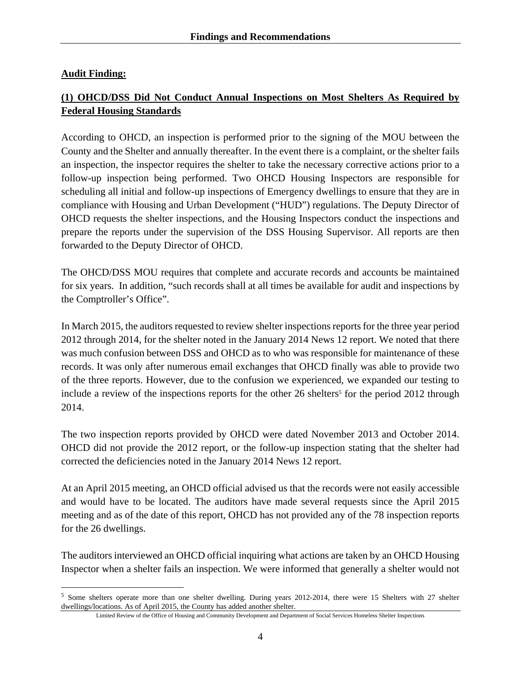### **Audit Finding:**

 $\overline{a}$ 

# **(1) OHCD/DSS Did Not Conduct Annual Inspections on Most Shelters As Required by Federal Housing Standards**

According to OHCD, an inspection is performed prior to the signing of the MOU between the County and the Shelter and annually thereafter. In the event there is a complaint, or the shelter fails an inspection, the inspector requires the shelter to take the necessary corrective actions prior to a follow-up inspection being performed. Two OHCD Housing Inspectors are responsible for scheduling all initial and follow-up inspections of Emergency dwellings to ensure that they are in compliance with Housing and Urban Development ("HUD") regulations. The Deputy Director of OHCD requests the shelter inspections, and the Housing Inspectors conduct the inspections and prepare the reports under the supervision of the DSS Housing Supervisor. All reports are then forwarded to the Deputy Director of OHCD.

The OHCD/DSS MOU requires that complete and accurate records and accounts be maintained for six years. In addition, "such records shall at all times be available for audit and inspections by the Comptroller's Office".

In March 2015, the auditors requested to review shelter inspections reports for the three year period 2012 through 2014, for the shelter noted in the January 2014 News 12 report. We noted that there was much confusion between DSS and OHCD as to who was responsible for maintenance of these records. It was only after numerous email exchanges that OHCD finally was able to provide two of the three reports. However, due to the confusion we experienced, we expanded our testing to include a review of the inspections reports for the other 26 shelters<sup>5</sup> for the period 2012 through 2014.

The two inspection reports provided by OHCD were dated November 2013 and October 2014. OHCD did not provide the 2012 report, or the follow-up inspection stating that the shelter had corrected the deficiencies noted in the January 2014 News 12 report.

At an April 2015 meeting, an OHCD official advised us that the records were not easily accessible and would have to be located. The auditors have made several requests since the April 2015 meeting and as of the date of this report, OHCD has not provided any of the 78 inspection reports for the 26 dwellings.

The auditors interviewed an OHCD official inquiring what actions are taken by an OHCD Housing Inspector when a shelter fails an inspection. We were informed that generally a shelter would not

<sup>5</sup> Some shelters operate more than one shelter dwelling. During years 2012-2014, there were 15 Shelters with 27 shelter dwellings/locations. As of April 2015, the County has added another shelter.

Limited Review of the Office of Housing and Community Development and Department of Social Services Homeless Shelter Inspections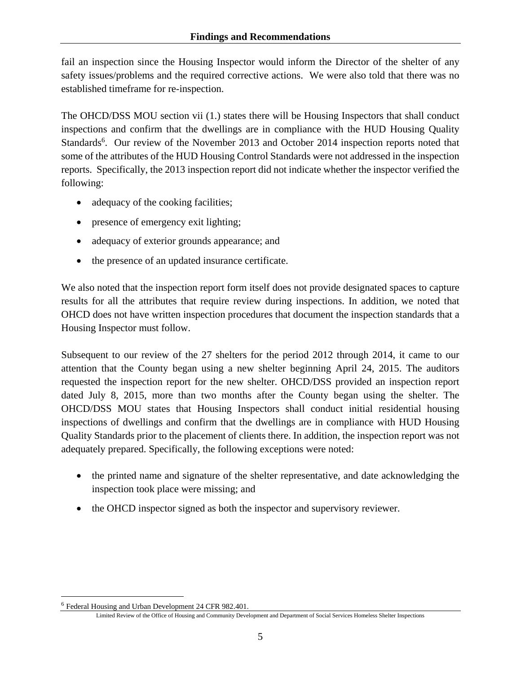fail an inspection since the Housing Inspector would inform the Director of the shelter of any safety issues/problems and the required corrective actions. We were also told that there was no established timeframe for re-inspection.

The OHCD/DSS MOU section vii (1.) states there will be Housing Inspectors that shall conduct inspections and confirm that the dwellings are in compliance with the HUD Housing Quality Standards<sup>6</sup>. Our review of the November 2013 and October 2014 inspection reports noted that some of the attributes of the HUD Housing Control Standards were not addressed in the inspection reports. Specifically, the 2013 inspection report did not indicate whether the inspector verified the following:

- adequacy of the cooking facilities;
- presence of emergency exit lighting;
- adequacy of exterior grounds appearance; and
- the presence of an updated insurance certificate.

We also noted that the inspection report form itself does not provide designated spaces to capture results for all the attributes that require review during inspections. In addition, we noted that OHCD does not have written inspection procedures that document the inspection standards that a Housing Inspector must follow.

Subsequent to our review of the 27 shelters for the period 2012 through 2014, it came to our attention that the County began using a new shelter beginning April 24, 2015. The auditors requested the inspection report for the new shelter. OHCD/DSS provided an inspection report dated July 8, 2015, more than two months after the County began using the shelter. The OHCD/DSS MOU states that Housing Inspectors shall conduct initial residential housing inspections of dwellings and confirm that the dwellings are in compliance with HUD Housing Quality Standards prior to the placement of clients there. In addition, the inspection report was not adequately prepared. Specifically, the following exceptions were noted:

- the printed name and signature of the shelter representative, and date acknowledging the inspection took place were missing; and
- the OHCD inspector signed as both the inspector and supervisory reviewer.

 $\overline{a}$ 

<sup>6</sup> Federal Housing and Urban Development 24 CFR 982.401.

Limited Review of the Office of Housing and Community Development and Department of Social Services Homeless Shelter Inspections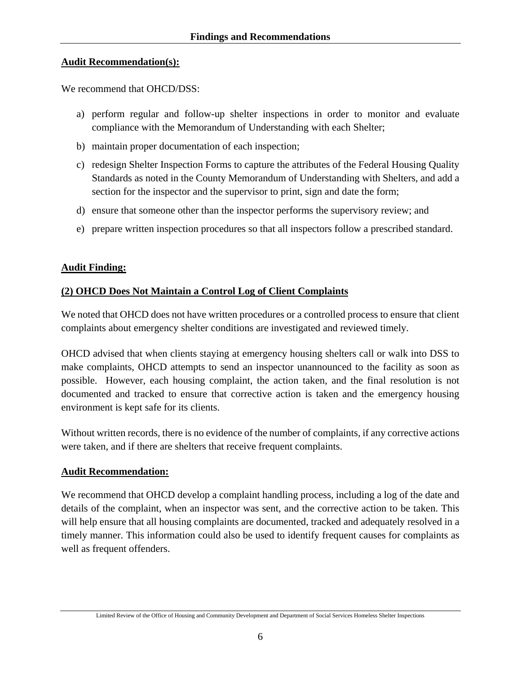### **Audit Recommendation(s):**

We recommend that OHCD/DSS:

- a) perform regular and follow-up shelter inspections in order to monitor and evaluate compliance with the Memorandum of Understanding with each Shelter;
- b) maintain proper documentation of each inspection;
- c) redesign Shelter Inspection Forms to capture the attributes of the Federal Housing Quality Standards as noted in the County Memorandum of Understanding with Shelters, and add a section for the inspector and the supervisor to print, sign and date the form;
- d) ensure that someone other than the inspector performs the supervisory review; and
- e) prepare written inspection procedures so that all inspectors follow a prescribed standard.

### **Audit Finding:**

### **(2) OHCD Does Not Maintain a Control Log of Client Complaints**

We noted that OHCD does not have written procedures or a controlled process to ensure that client complaints about emergency shelter conditions are investigated and reviewed timely.

OHCD advised that when clients staying at emergency housing shelters call or walk into DSS to make complaints, OHCD attempts to send an inspector unannounced to the facility as soon as possible. However, each housing complaint, the action taken, and the final resolution is not documented and tracked to ensure that corrective action is taken and the emergency housing environment is kept safe for its clients.

Without written records, there is no evidence of the number of complaints, if any corrective actions were taken, and if there are shelters that receive frequent complaints.

### **Audit Recommendation:**

We recommend that OHCD develop a complaint handling process, including a log of the date and details of the complaint, when an inspector was sent, and the corrective action to be taken. This will help ensure that all housing complaints are documented, tracked and adequately resolved in a timely manner. This information could also be used to identify frequent causes for complaints as well as frequent offenders.

Limited Review of the Office of Housing and Community Development and Department of Social Services Homeless Shelter Inspections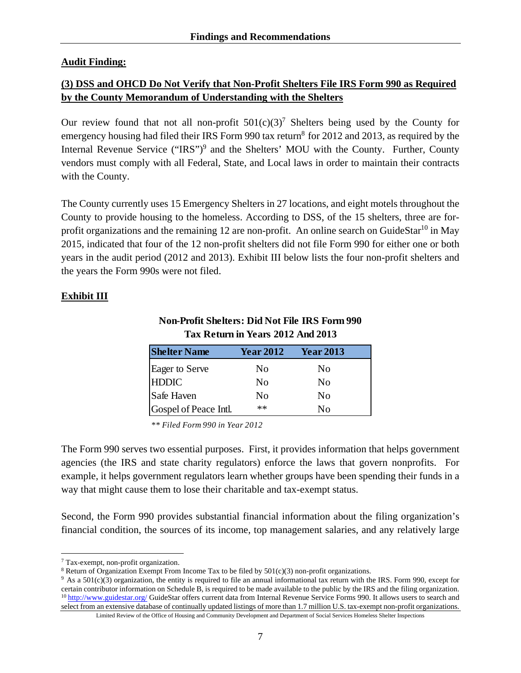### **Audit Finding:**

# **(3) DSS and OHCD Do Not Verify that Non-Profit Shelters File IRS Form 990 as Required by the County Memorandum of Understanding with the Shelters**

Our review found that not all non-profit  $501(c)(3)^7$  Shelters being used by the County for emergency housing had filed their IRS Form 990 tax return<sup>8</sup> for 2012 and 2013, as required by the Internal Revenue Service ("IRS")<sup>9</sup> and the Shelters' MOU with the County. Further, County vendors must comply with all Federal, State, and Local laws in order to maintain their contracts with the County.

The County currently uses 15 Emergency Shelters in 27 locations, and eight motels throughout the County to provide housing to the homeless. According to DSS, of the 15 shelters, three are forprofit organizations and the remaining 12 are non-profit. An online search on GuideStar<sup>10</sup> in May 2015, indicated that four of the 12 non-profit shelters did not file Form 990 for either one or both years in the audit period (2012 and 2013). Exhibit III below lists the four non-profit shelters and the years the Form 990s were not filed.

### **Exhibit III**

# **Non-Profit Shelters: Did Not File IRS Form 990 Tax Return in Years 2012 And 2013**

| <b>Shelter Name</b>                   | <b>Year 2012</b> | <b>Year 2013</b> |
|---------------------------------------|------------------|------------------|
|                                       | No               | N <sub>0</sub>   |
| Eager to Serve<br>HDDIC<br>Safe Haven | No               | N <sub>0</sub>   |
|                                       | No               | N <sub>0</sub>   |
| Gospel of Peace Intl.                 | $**$             | Nο               |

*\*\* Filed Form 990 in Year 2012*

The Form 990 serves two essential purposes. First, it provides information that helps government agencies (the IRS and state charity regulators) enforce the laws that govern nonprofits. For example, it helps government regulators learn whether groups have been spending their funds in a way that might cause them to lose their charitable and tax-exempt status.

Second, the Form 990 provides substantial financial information about the filing organization's financial condition, the sources of its income, top management salaries, and any relatively large

 $\overline{a}$ 

<sup>&</sup>lt;sup>7</sup> Tax-exempt, non-profit organization.<br><sup>8</sup> Return of Organization Exempt From Income Tax to be filed by 501(c)(3) non-profit organizations.

 $9$  As a 501(c)(3) organization, the entity is required to file an annual informational tax return with the IRS. Form 990, except for certain contributor information on Schedule B, is required to be made available to the <sup>10</sup> http://www.guidestar.org/ GuideStar offers current data from Internal Revenue Service Forms 990. It allows users to search and select from an extensive database of continually updated listings of more than 1.7 million U.S. tax-exempt non-profit organizations.

Limited Review of the Office of Housing and Community Development and Department of Social Services Homeless Shelter Inspections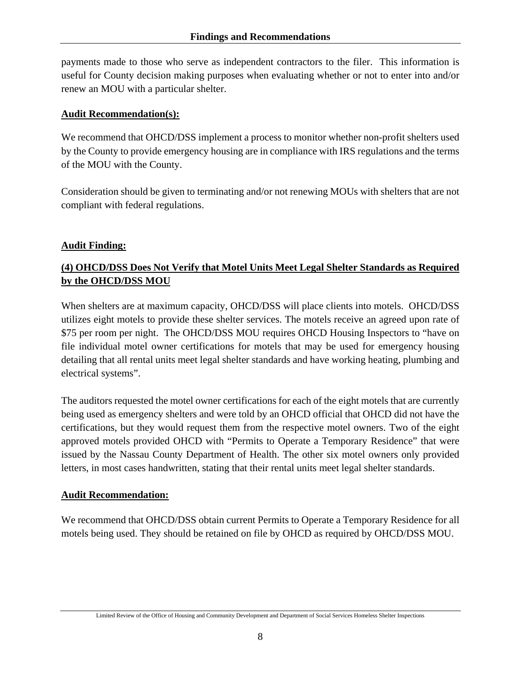payments made to those who serve as independent contractors to the filer. This information is useful for County decision making purposes when evaluating whether or not to enter into and/or renew an MOU with a particular shelter.

### **Audit Recommendation(s):**

We recommend that OHCD/DSS implement a process to monitor whether non-profit shelters used by the County to provide emergency housing are in compliance with IRS regulations and the terms of the MOU with the County.

Consideration should be given to terminating and/or not renewing MOUs with shelters that are not compliant with federal regulations.

# **Audit Finding:**

# **(4) OHCD/DSS Does Not Verify that Motel Units Meet Legal Shelter Standards as Required by the OHCD/DSS MOU**

When shelters are at maximum capacity, OHCD/DSS will place clients into motels. OHCD/DSS utilizes eight motels to provide these shelter services. The motels receive an agreed upon rate of \$75 per room per night. The OHCD/DSS MOU requires OHCD Housing Inspectors to "have on file individual motel owner certifications for motels that may be used for emergency housing detailing that all rental units meet legal shelter standards and have working heating, plumbing and electrical systems".

The auditors requested the motel owner certifications for each of the eight motels that are currently being used as emergency shelters and were told by an OHCD official that OHCD did not have the certifications, but they would request them from the respective motel owners. Two of the eight approved motels provided OHCD with "Permits to Operate a Temporary Residence" that were issued by the Nassau County Department of Health. The other six motel owners only provided letters, in most cases handwritten, stating that their rental units meet legal shelter standards.

# **Audit Recommendation:**

We recommend that OHCD/DSS obtain current Permits to Operate a Temporary Residence for all motels being used. They should be retained on file by OHCD as required by OHCD/DSS MOU.

Limited Review of the Office of Housing and Community Development and Department of Social Services Homeless Shelter Inspections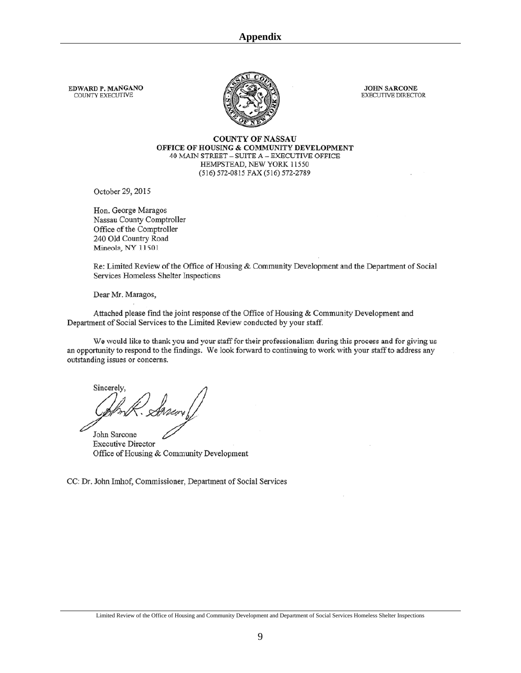EDWARD P. MANGANO COUNTY EXECUTIVE



**JOHN SARCONE** EXECUTIVE DIRECTOR

**COUNTY OF NASSAU** OFFICE OF HOUSING & COMMUNITY DEVELOPMENT 40 MAIN STREET - SUITE A - EXECUTIVE OFFICE HEMPSTEAD, NEW YORK 11550 (516) 572-0815 FAX (516) 572-2789

October 29, 2015

Hon. George Maragos Nassau County Comptroller Office of the Comptroller 240 Old Country Road Mineola, NY 11501

Re: Limited Review of the Office of Housing & Community Development and the Department of Social Services Homeless Shelter Inspections

Dear Mr. Maragos,

Attached please find the joint response of the Office of Housing & Community Development and Department of Social Services to the Limited Review conducted by your staff.

We would like to thank you and your staff for their professionalism during this process and for giving us an opportunity to respond to the findings. We look forward to continuing to work with your staff to address any outstanding issues or concerns.

Sincerely,

John Sarcone **Executive Director** Office of Housing & Community Development

CC: Dr. John Imhof, Commissioner, Department of Social Services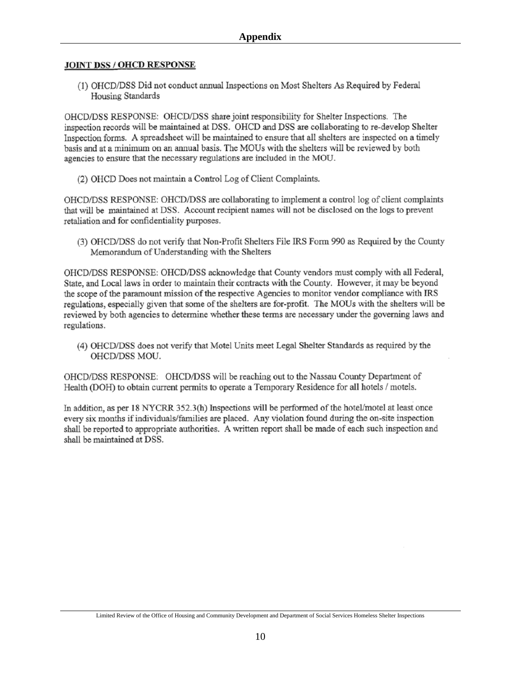#### **JOINT DSS / OHCD RESPONSE**

(1) OHCD/DSS Did not conduct annual Inspections on Most Shelters As Required by Federal Housing Standards

OHCD/DSS RESPONSE: OHCD/DSS share joint responsibility for Shelter Inspections. The inspection records will be maintained at DSS. OHCD and DSS are collaborating to re-develop Shelter Inspection forms. A spreadsheet will be maintained to ensure that all shelters are inspected on a timely basis and at a minimum on an annual basis. The MOUs with the shelters will be reviewed by both agencies to ensure that the necessary regulations are included in the MOU.

(2) OHCD Does not maintain a Control Log of Client Complaints.

OHCD/DSS RESPONSE: OHCD/DSS are collaborating to implement a control log of client complaints that will be maintained at DSS. Account recipient names will not be disclosed on the logs to prevent retaliation and for confidentiality purposes.

(3) OHCD/DSS do not verify that Non-Profit Shelters File IRS Form 990 as Required by the County Memorandum of Understanding with the Shelters

OHCD/DSS RESPONSE: OHCD/DSS acknowledge that County vendors must comply with all Federal, State, and Local laws in order to maintain their contracts with the County. However, it may be beyond the scope of the paramount mission of the respective Agencies to monitor vendor compliance with IRS regulations, especially given that some of the shelters are for-profit. The MOUs with the shelters will be reviewed by both agencies to determine whether these terms are necessary under the governing laws and regulations.

(4) OHCD/DSS does not verify that Motel Units meet Legal Shelter Standards as required by the OHCD/DSS MOU.

OHCD/DSS RESPONSE: OHCD/DSS will be reaching out to the Nassau County Department of Health (DOH) to obtain current permits to operate a Temporary Residence for all hotels / motels.

In addition, as per 18 NYCRR 352.3(h) Inspections will be performed of the hotel/motel at least once every six months if individuals/families are placed. Any violation found during the on-site inspection shall be reported to appropriate authorities. A written report shall be made of each such inspection and shall be maintained at DSS.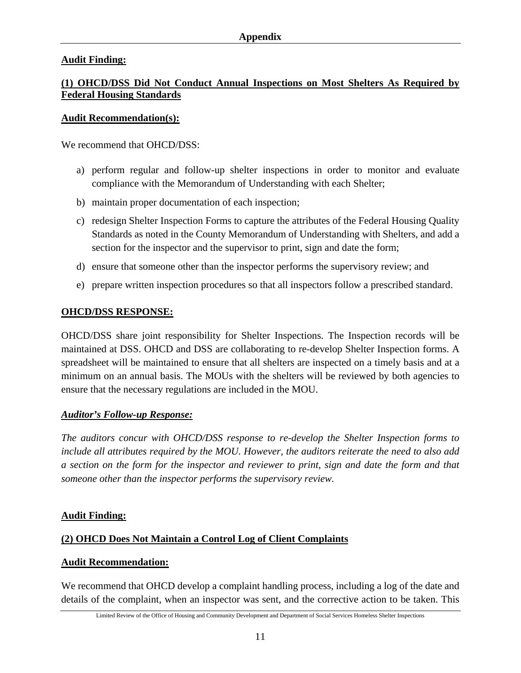### **Audit Finding:**

# **(1) OHCD/DSS Did Not Conduct Annual Inspections on Most Shelters As Required by Federal Housing Standards**

### **Audit Recommendation(s):**

We recommend that OHCD/DSS:

- a) perform regular and follow-up shelter inspections in order to monitor and evaluate compliance with the Memorandum of Understanding with each Shelter;
- b) maintain proper documentation of each inspection;
- c) redesign Shelter Inspection Forms to capture the attributes of the Federal Housing Quality Standards as noted in the County Memorandum of Understanding with Shelters, and add a section for the inspector and the supervisor to print, sign and date the form;
- d) ensure that someone other than the inspector performs the supervisory review; and
- e) prepare written inspection procedures so that all inspectors follow a prescribed standard.

### **OHCD/DSS RESPONSE:**

OHCD/DSS share joint responsibility for Shelter Inspections. The Inspection records will be maintained at DSS. OHCD and DSS are collaborating to re-develop Shelter Inspection forms. A spreadsheet will be maintained to ensure that all shelters are inspected on a timely basis and at a minimum on an annual basis. The MOUs with the shelters will be reviewed by both agencies to ensure that the necessary regulations are included in the MOU.

### *Auditor's Follow-up Response:*

*The auditors concur with OHCD/DSS response to re-develop the Shelter Inspection forms to include all attributes required by the MOU. However, the auditors reiterate the need to also add a section on the form for the inspector and reviewer to print, sign and date the form and that someone other than the inspector performs the supervisory review.* 

### **Audit Finding:**

# **(2) OHCD Does Not Maintain a Control Log of Client Complaints**

### **Audit Recommendation:**

We recommend that OHCD develop a complaint handling process, including a log of the date and details of the complaint, when an inspector was sent, and the corrective action to be taken. This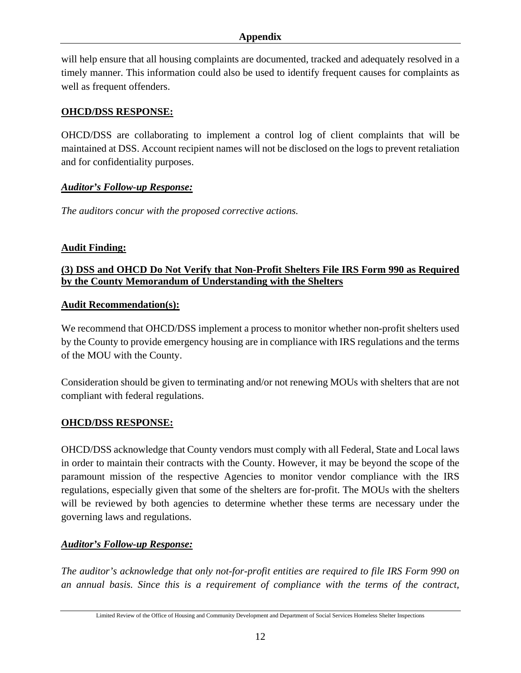### **Appendix**

will help ensure that all housing complaints are documented, tracked and adequately resolved in a timely manner. This information could also be used to identify frequent causes for complaints as well as frequent offenders.

### **OHCD/DSS RESPONSE:**

OHCD/DSS are collaborating to implement a control log of client complaints that will be maintained at DSS. Account recipient names will not be disclosed on the logs to prevent retaliation and for confidentiality purposes.

### *Auditor's Follow-up Response:*

*The auditors concur with the proposed corrective actions.* 

### **Audit Finding:**

### **(3) DSS and OHCD Do Not Verify that Non-Profit Shelters File IRS Form 990 as Required by the County Memorandum of Understanding with the Shelters**

### **Audit Recommendation(s):**

We recommend that OHCD/DSS implement a process to monitor whether non-profit shelters used by the County to provide emergency housing are in compliance with IRS regulations and the terms of the MOU with the County.

Consideration should be given to terminating and/or not renewing MOUs with shelters that are not compliant with federal regulations.

### **OHCD/DSS RESPONSE:**

OHCD/DSS acknowledge that County vendors must comply with all Federal, State and Local laws in order to maintain their contracts with the County. However, it may be beyond the scope of the paramount mission of the respective Agencies to monitor vendor compliance with the IRS regulations, especially given that some of the shelters are for-profit. The MOUs with the shelters will be reviewed by both agencies to determine whether these terms are necessary under the governing laws and regulations.

### *Auditor's Follow-up Response:*

*The auditor's acknowledge that only not-for-profit entities are required to file IRS Form 990 on an annual basis. Since this is a requirement of compliance with the terms of the contract,*